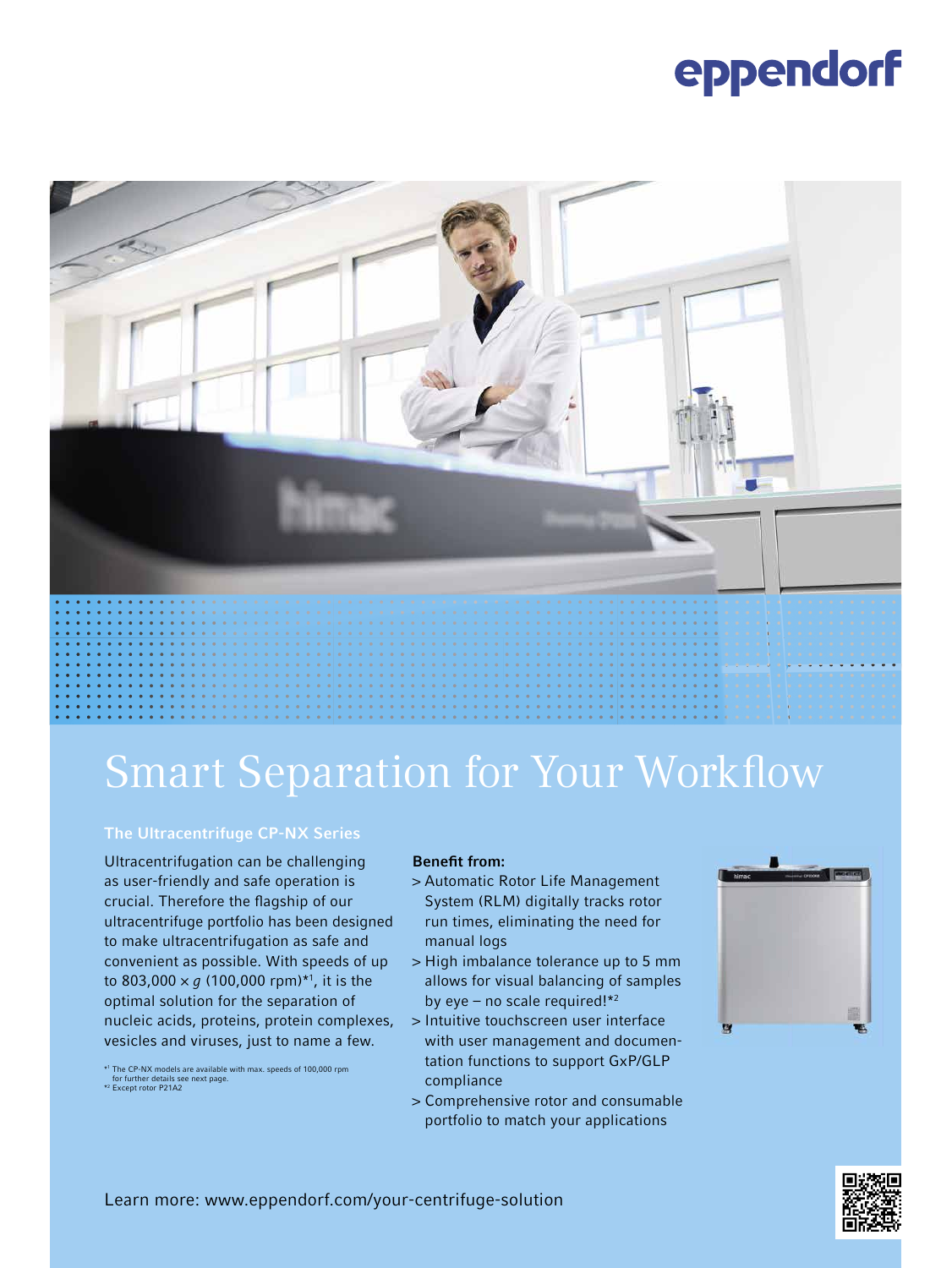# eppendorf



## **Smart Separation for Your Workflow**

#### The Ultracentrifuge CP-NX Series

Ultracentrifugation can be challenging as user-friendly and safe operation is crucial. Therefore the flagship of our ultracentrifuge portfolio has been designed to make ultracentrifugation as safe and convenient as possible. With speeds of up to 803,000  $\times$  *g* (100,000 rpm)<sup>\*1</sup>, it is the optimal solution for the separation of nucleic acids, proteins, protein complexes, vesicles and viruses, just to name a few.

### Benefit from:

- > Automatic Rotor Life Management System (RLM) digitally tracks rotor run times, eliminating the need for manual logs
- > High imbalance tolerance up to 5 mm allows for visual balancing of samples by eye – no scale required! $*2$
- > Intuitive touchscreen user interface with user management and documentation functions to support GxP/GLP compliance
- > Comprehensive rotor and consumable portfolio to match your applications





Learn more: www.eppendorf.com/your-centrifuge-solution

<sup>\*1</sup> The CP-NX models are available with max. speeds of 100,000 rpm for further details see next page. \*2 Except rotor P21A2